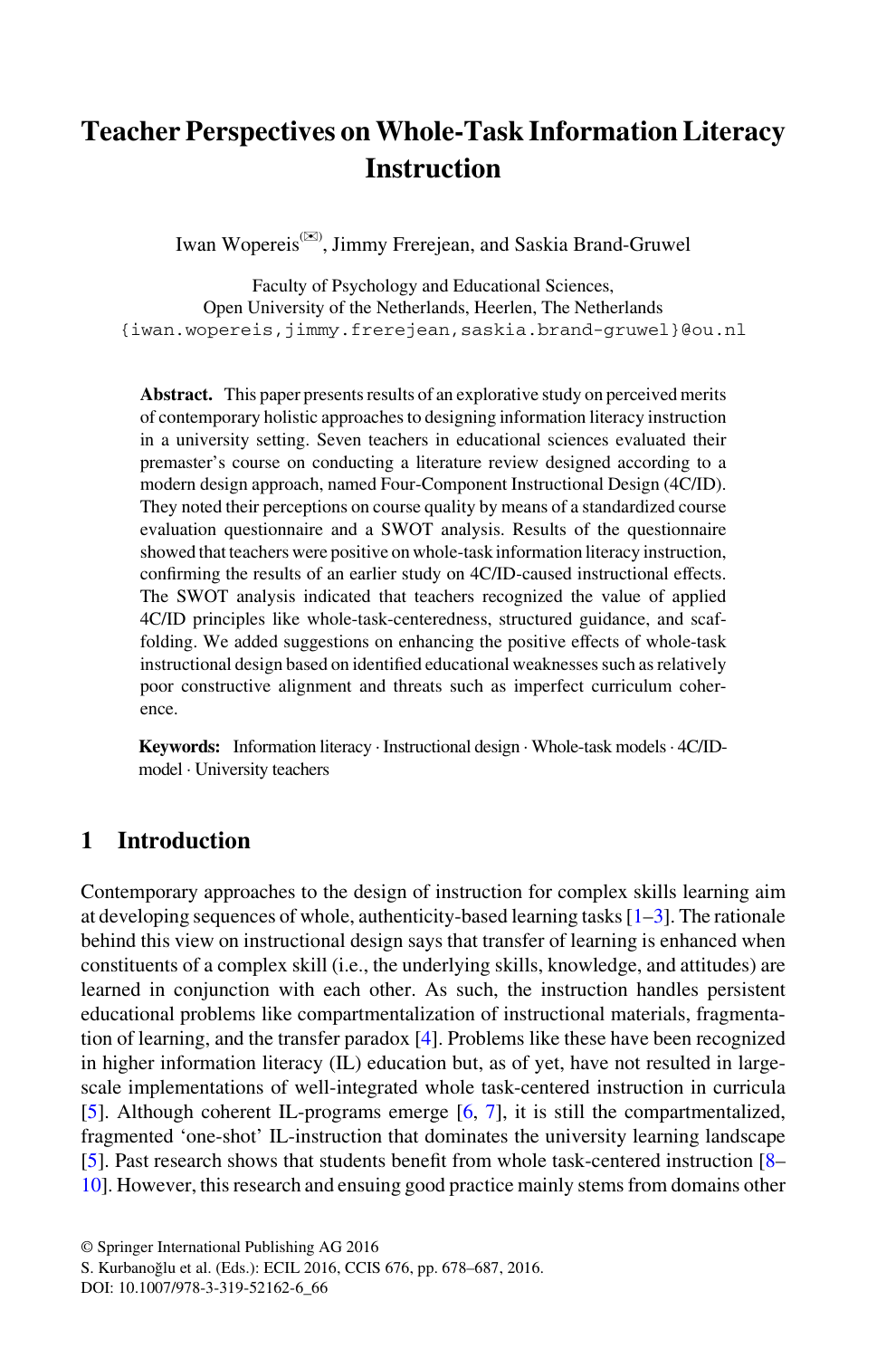# **Teacher Perspectives on Whole-Task Information Literacy Instruction**

Iwan Wopereis(✉) , Jimmy Frerejean, and Saskia Brand-Gruwel

Faculty of Psychology and Educational Sciences, Open University of the Netherlands, Heerlen, The Netherlands {iwan.wopereis,jimmy.frerejean,saskia.brand-gruwel}@ou.nl

**Abstract.** This paper presents results of an explorative study on perceived merits of contemporary holistic approaches to designing information literacy instruction in a university setting. Seven teachers in educational sciences evaluated their premaster's course on conducting a literature review designed according to a modern design approach, named Four-Component Instructional Design (4C/ID). They noted their perceptions on course quality by means of a standardized course evaluation questionnaire and a SWOT analysis. Results of the questionnaire showed that teachers were positive on whole-task information literacy instruction, confirming the results of an earlier study on 4C/ID-caused instructional effects. The SWOT analysis indicated that teachers recognized the value of applied 4C/ID principles like whole-task-centeredness, structured guidance, and scaffolding. We added suggestions on enhancing the positive effects of whole-task instructional design based on identified educational weaknesses such as relatively poor constructive alignment and threats such as imperfect curriculum coherence.

**Keywords:** Information literacy · Instructional design · Whole-task models · 4C/IDmodel · University teachers

### **1 Introduction**

Contemporary approaches to the design of instruction for complex skills learning aim at developing sequences of whole, authenticity-based learning tasks [[1–3\]](#page-8-0). The rationale behind this view on instructional design says that transfer of learning is enhanced when constituents of a complex skill (i.e., the underlying skills, knowledge, and attitudes) are learned in conjunction with each other. As such, the instruction handles persistent educational problems like compartmentalization of instructional materials, fragmentation of learning, and the transfer paradox [[4\]](#page-8-0). Problems like these have been recognized in higher information literacy (IL) education but, as of yet, have not resulted in largescale implementations of well-integrated whole task-centered instruction in curricula [\[5](#page-8-0)]. Although coherent IL-programs emerge [\[6](#page-8-0), [7](#page-8-0)], it is still the compartmentalized, fragmented 'one-shot' IL-instruction that dominates the university learning landscape [\[5](#page-8-0)]. Past research shows that students benefit from whole task-centered instruction [\[8–](#page-8-0) [10\]](#page-8-0). However, this research and ensuing good practice mainly stems from domains other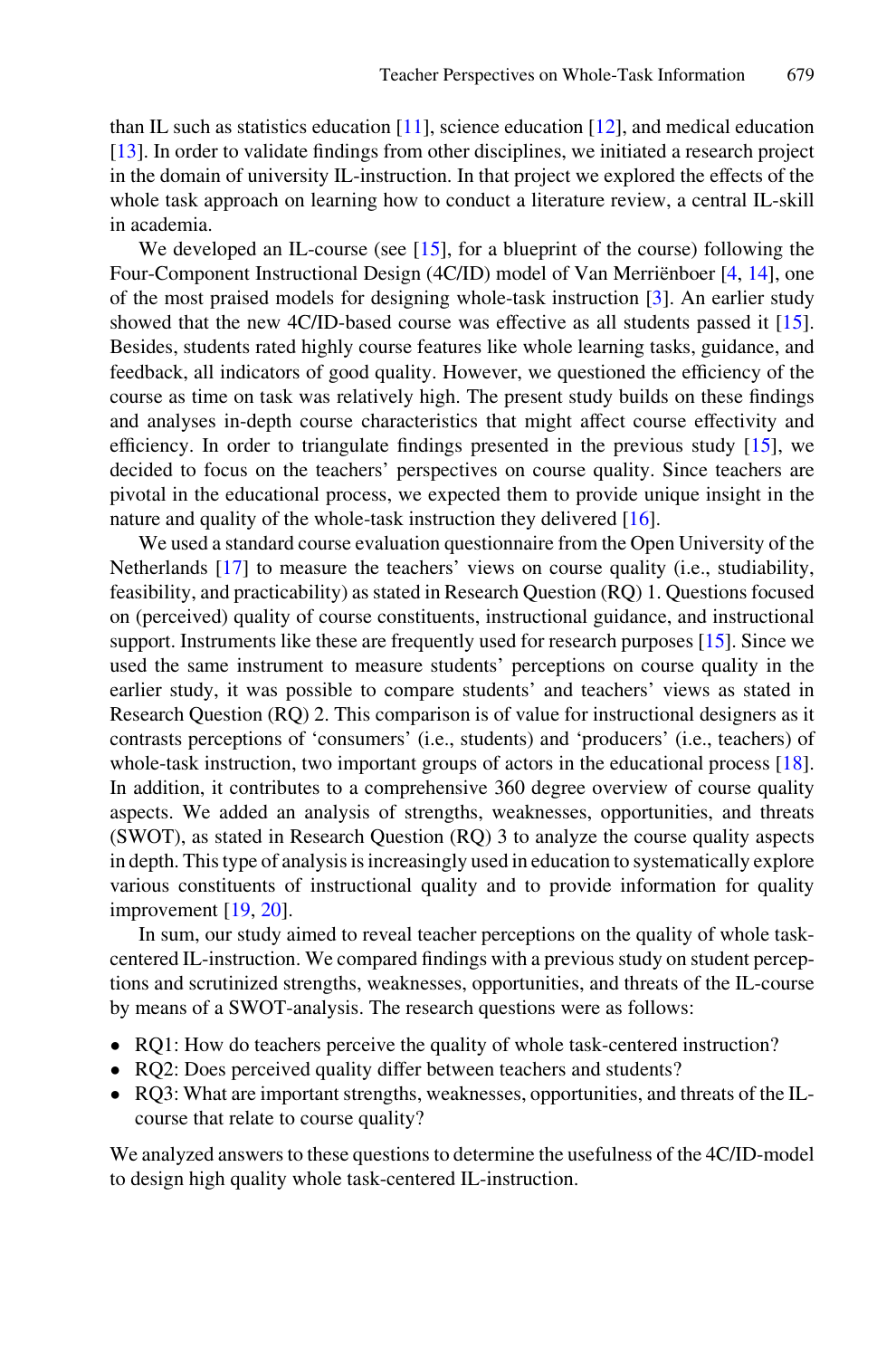than IL such as statistics education  $[11]$  $[11]$ , science education  $[12]$  $[12]$ , and medical education [\[13](#page-8-0)]. In order to validate findings from other disciplines, we initiated a research project in the domain of university IL-instruction. In that project we explored the effects of the whole task approach on learning how to conduct a literature review, a central IL-skill in academia.

We developed an IL-course (see [\[15](#page-8-0)], for a blueprint of the course) following the Four-Component Instructional Design (4C/ID) model of Van Merriënboer [[4,](#page-8-0) [14\]](#page-8-0), one of the most praised models for designing whole-task instruction [\[3](#page-8-0)]. An earlier study showed that the new 4C/ID-based course was effective as all students passed it [[15\]](#page-8-0). Besides, students rated highly course features like whole learning tasks, guidance, and feedback, all indicators of good quality. However, we questioned the efficiency of the course as time on task was relatively high. The present study builds on these findings and analyses in-depth course characteristics that might affect course effectivity and efficiency. In order to triangulate findings presented in the previous study [\[15](#page-8-0)], we decided to focus on the teachers' perspectives on course quality. Since teachers are pivotal in the educational process, we expected them to provide unique insight in the nature and quality of the whole-task instruction they delivered [[16](#page-8-0)].

We used a standard course evaluation questionnaire from the Open University of the Netherlands [[17\]](#page-8-0) to measure the teachers' views on course quality (i.e., studiability, feasibility, and practicability) as stated in Research Question (RQ) 1. Questions focused on (perceived) quality of course constituents, instructional guidance, and instructional support. Instruments like these are frequently used for research purposes [[15\]](#page-8-0). Since we used the same instrument to measure students' perceptions on course quality in the earlier study, it was possible to compare students' and teachers' views as stated in Research Question (RQ) 2. This comparison is of value for instructional designers as it contrasts perceptions of 'consumers' (i.e., students) and 'producers' (i.e., teachers) of whole-task instruction, two important groups of actors in the educational process [[18\]](#page-9-0). In addition, it contributes to a comprehensive 360 degree overview of course quality aspects. We added an analysis of strengths, weaknesses, opportunities, and threats (SWOT), as stated in Research Question (RQ) 3 to analyze the course quality aspects in depth. This type of analysis is increasingly used in education to systematically explore various constituents of instructional quality and to provide information for quality improvement [[19](#page-9-0), [20](#page-9-0)].

In sum, our study aimed to reveal teacher perceptions on the quality of whole taskcentered IL-instruction. We compared findings with a previous study on student perceptions and scrutinized strengths, weaknesses, opportunities, and threats of the IL-course by means of a SWOT-analysis. The research questions were as follows:

- RQ1: How do teachers perceive the quality of whole task-centered instruction?
- RQ2: Does perceived quality differ between teachers and students?
- RQ3: What are important strengths, weaknesses, opportunities, and threats of the ILcourse that relate to course quality?

We analyzed answers to these questions to determine the usefulness of the 4C/ID-model to design high quality whole task-centered IL-instruction.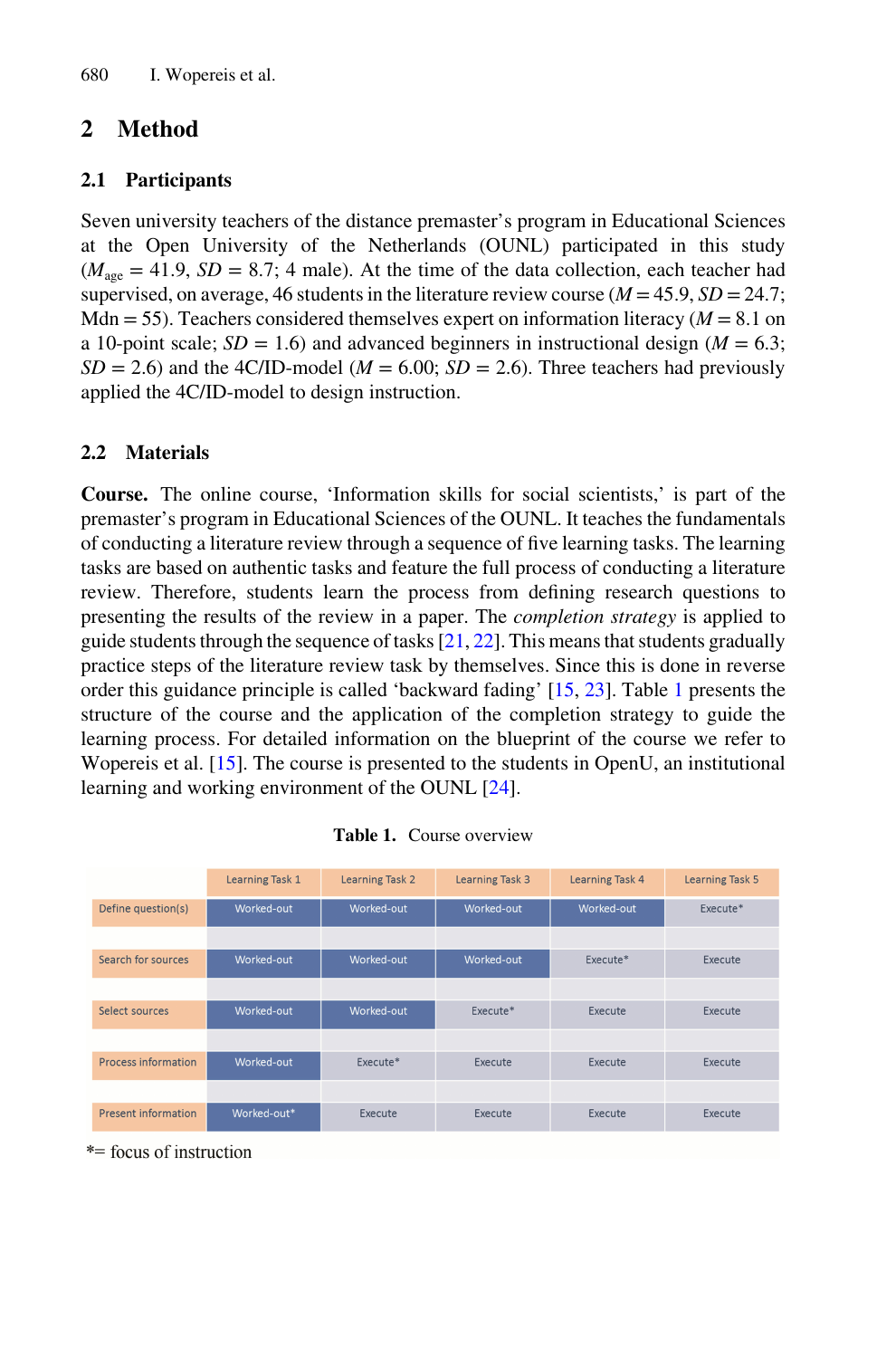# **2 Method**

#### **2.1 Participants**

Seven university teachers of the distance premaster's program in Educational Sciences at the Open University of the Netherlands (OUNL) participated in this study  $(M<sub>age</sub> = 41.9, SD = 8.7; 4 male)$ . At the time of the data collection, each teacher had supervised, on average, 46 students in the literature review course ( $M = 45.9$ ,  $SD = 24.7$ ; Mdn  $= 55$ ). Teachers considered themselves expert on information literacy ( $M = 8.1$  on a 10-point scale;  $SD = 1.6$ ) and advanced beginners in instructional design ( $M = 6.3$ ;  $SD = 2.6$ ) and the 4C/ID-model ( $M = 6.00$ ;  $SD = 2.6$ ). Three teachers had previously applied the 4C/ID-model to design instruction.

#### **2.2 Materials**

**Course.** The online course, 'Information skills for social scientists,' is part of the premaster's program in Educational Sciences of the OUNL. It teaches the fundamentals of conducting a literature review through a sequence of five learning tasks. The learning tasks are based on authentic tasks and feature the full process of conducting a literature review. Therefore, students learn the process from defining research questions to presenting the results of the review in a paper. The *completion strategy* is applied to guide students through the sequence of tasks  $[21, 22]$  $[21, 22]$  $[21, 22]$  $[21, 22]$ . This means that students gradually practice steps of the literature review task by themselves. Since this is done in reverse order this guidance principle is called 'backward fading' [\[15,](#page-8-0) [23\]](#page-9-0). Table 1 presents the structure of the course and the application of the completion strategy to guide the learning process. For detailed information on the blueprint of the course we refer to Wopereis et al. [[15\]](#page-8-0). The course is presented to the students in OpenU, an institutional learning and working environment of the OUNL [[24\]](#page-9-0).

|                            | <b>Learning Task 1</b> | <b>Learning Task 2</b> | <b>Learning Task 3</b> | <b>Learning Task 4</b> | <b>Learning Task 5</b> |
|----------------------------|------------------------|------------------------|------------------------|------------------------|------------------------|
| Define question(s)         | Worked-out             | Worked-out             | Worked-out             | Worked-out             | Execute*               |
|                            |                        |                        |                        |                        |                        |
| Search for sources         | Worked-out             | Worked-out             | Worked-out             | Execute*               | Execute                |
|                            |                        |                        |                        |                        |                        |
| Select sources             | Worked-out             | Worked-out             | Execute*               | Execute                | Execute                |
|                            |                        |                        |                        |                        |                        |
| <b>Process information</b> | Worked-out             | Execute*               | Execute                | Execute                | Execute                |
|                            |                        |                        |                        |                        |                        |
| <b>Present information</b> | Worked-out*            | Execute                | Execute                | Execute                | Execute                |

**Table 1.** Course overview

\*= focus of instruction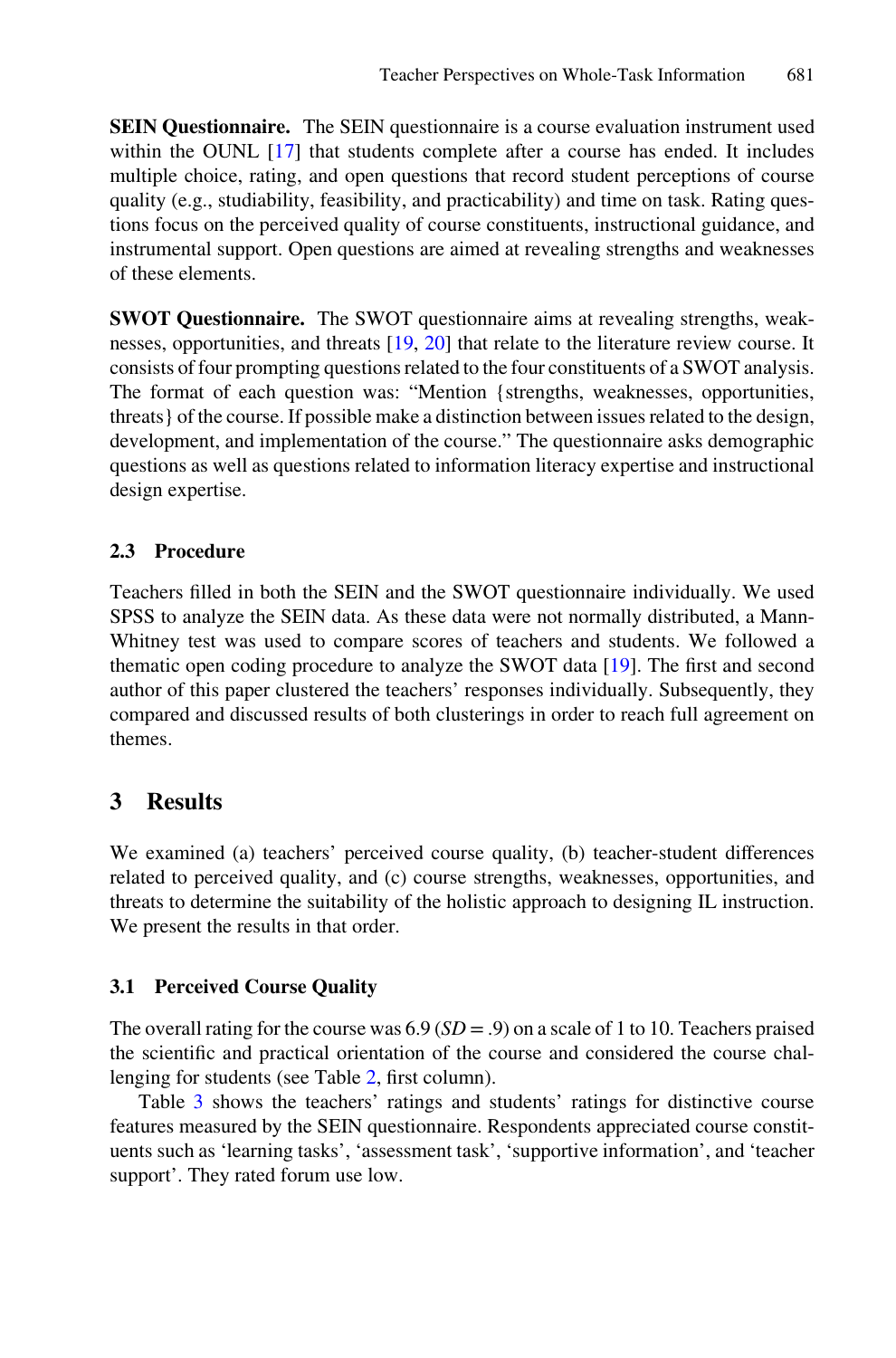**SEIN Questionnaire.** The SEIN questionnaire is a course evaluation instrument used within the OUNL [[17](#page-8-0)] that students complete after a course has ended. It includes multiple choice, rating, and open questions that record student perceptions of course quality (e.g., studiability, feasibility, and practicability) and time on task. Rating ques‐ tions focus on the perceived quality of course constituents, instructional guidance, and instrumental support. Open questions are aimed at revealing strengths and weaknesses of these elements.

**SWOT Questionnaire.** The SWOT questionnaire aims at revealing strengths, weak‐ nesses, opportunities, and threats [[19,](#page-9-0) [20](#page-9-0)] that relate to the literature review course. It consists of four prompting questions related to the four constituents of a SWOT analysis. The format of each question was: "Mention {strengths, weaknesses, opportunities, threats} of the course. If possible make a distinction between issues related to the design, development, and implementation of the course." The questionnaire asks demographic questions as well as questions related to information literacy expertise and instructional design expertise.

#### **2.3 Procedure**

Teachers filled in both the SEIN and the SWOT questionnaire individually. We used SPSS to analyze the SEIN data. As these data were not normally distributed, a Mann-Whitney test was used to compare scores of teachers and students. We followed a thematic open coding procedure to analyze the SWOT data [\[19](#page-9-0)]. The first and second author of this paper clustered the teachers' responses individually. Subsequently, they compared and discussed results of both clusterings in order to reach full agreement on themes.

# **3 Results**

We examined (a) teachers' perceived course quality, (b) teacher-student differences related to perceived quality, and (c) course strengths, weaknesses, opportunities, and threats to determine the suitability of the holistic approach to designing IL instruction. We present the results in that order.

### **3.1 Perceived Course Quality**

The overall rating for the course was  $6.9$  ( $SD = .9$ ) on a scale of 1 to 10. Teachers praised the scientific and practical orientation of the course and considered the course chal‐ lenging for students (see Table 2, first column).

Table [3](#page-4-0) shows the teachers' ratings and students' ratings for distinctive course features measured by the SEIN questionnaire. Respondents appreciated course constituents such as 'learning tasks', 'assessment task', 'supportive information', and 'teacher support'. They rated forum use low.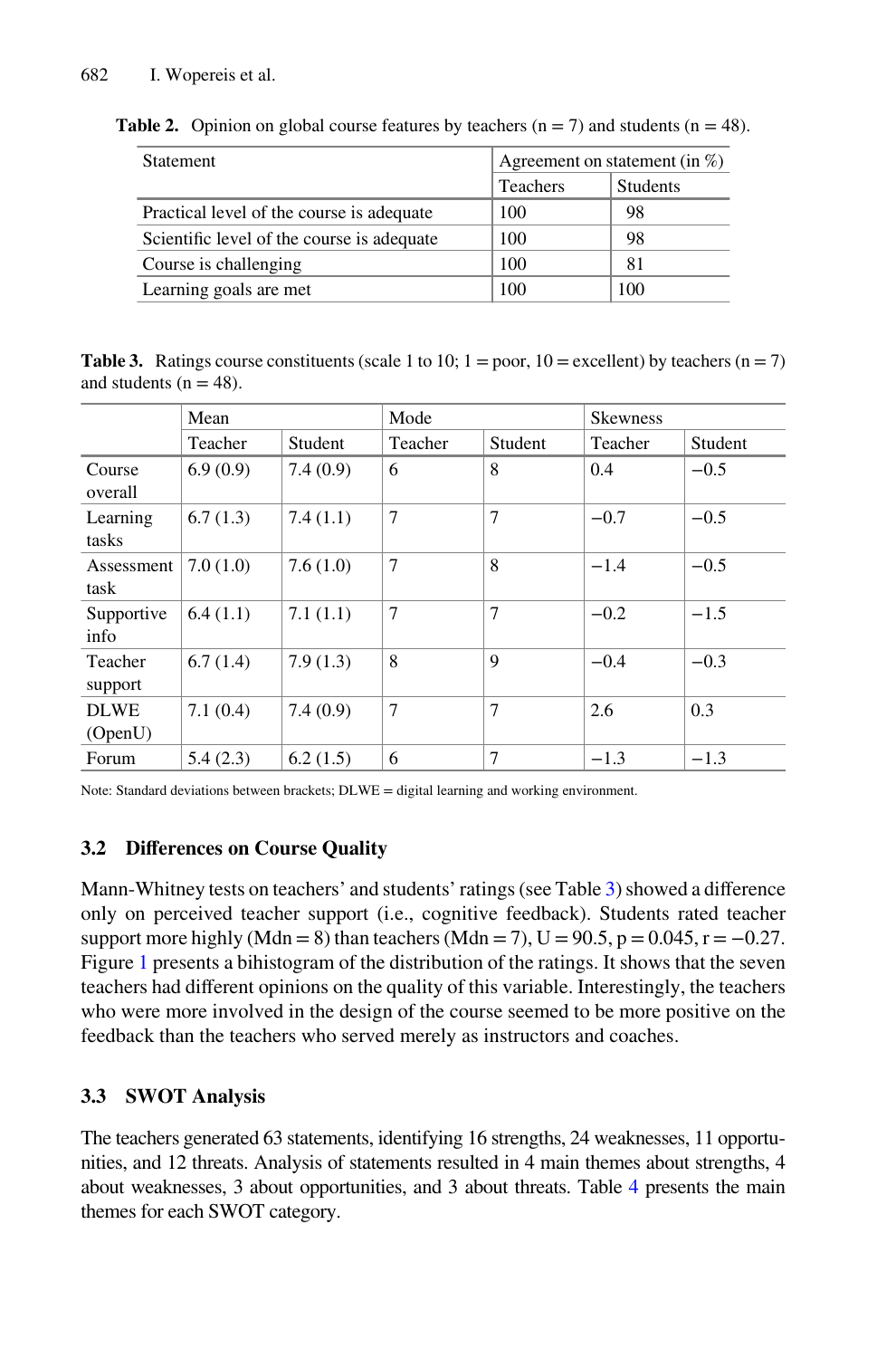| Statement                                  | Agreement on statement (in $\%$ ) |          |  |
|--------------------------------------------|-----------------------------------|----------|--|
|                                            | Teachers                          | Students |  |
| Practical level of the course is adequate  | 100                               | 98       |  |
| Scientific level of the course is adequate | 100                               | 98       |  |
| Course is challenging                      | 100                               | 81       |  |
| Learning goals are met                     | 100                               | 100      |  |

<span id="page-4-0"></span>**Table 2.** Opinion on global course features by teachers  $(n = 7)$  and students  $(n = 48)$ .

**Table 3.** Ratings course constituents (scale 1 to 10;  $1 =$  poor,  $10 =$  excellent) by teachers ( $n = 7$ ) and students ( $n = 48$ ).

|                        | Mean     |          | Mode           |         | <b>Skewness</b> |         |
|------------------------|----------|----------|----------------|---------|-----------------|---------|
|                        | Teacher  | Student  | Teacher        | Student | Teacher         | Student |
| Course<br>overall      | 6.9(0.9) | 7.4(0.9) | 6              | 8       | 0.4             | $-0.5$  |
| Learning<br>tasks      | 6.7(1.3) | 7.4(1.1) | $\overline{7}$ | 7       | $-0.7$          | $-0.5$  |
| Assessment<br>task     | 7.0(1.0) | 7.6(1.0) | 7              | 8       | $-1.4$          | $-0.5$  |
| Supportive<br>info     | 6.4(1.1) | 7.1(1.1) | $\overline{7}$ | 7       | $-0.2$          | $-1.5$  |
| Teacher<br>support     | 6.7(1.4) | 7.9(1.3) | 8              | 9       | $-0.4$          | $-0.3$  |
| <b>DLWE</b><br>(OpenU) | 7.1(0.4) | 7.4(0.9) | 7              | 7       | 2.6             | 0.3     |
| Forum                  | 5.4(2.3) | 6.2(1.5) | 6              | 7       | $-1.3$          | $-1.3$  |

Note: Standard deviations between brackets; DLWE = digital learning and working environment.

### **3.2 Differences on Course Quality**

Mann-Whitney tests on teachers' and students' ratings (see Table 3) showed a difference only on perceived teacher support (i.e., cognitive feedback). Students rated teacher support more highly (Mdn = 8) than teachers (Mdn = 7), U =  $90.5$ , p =  $0.045$ , r =  $-0.27$ . Figure [1](#page-5-0) presents a bihistogram of the distribution of the ratings. It shows that the seven teachers had different opinions on the quality of this variable. Interestingly, the teachers who were more involved in the design of the course seemed to be more positive on the feedback than the teachers who served merely as instructors and coaches.

### **3.3 SWOT Analysis**

The teachers generated 63 statements, identifying 16 strengths, 24 weaknesses, 11 opportunities, and 12 threats. Analysis of statements resulted in 4 main themes about strengths, 4 about weaknesses, 3 about opportunities, and 3 about threats. Table 4 presents the main themes for each SWOT category.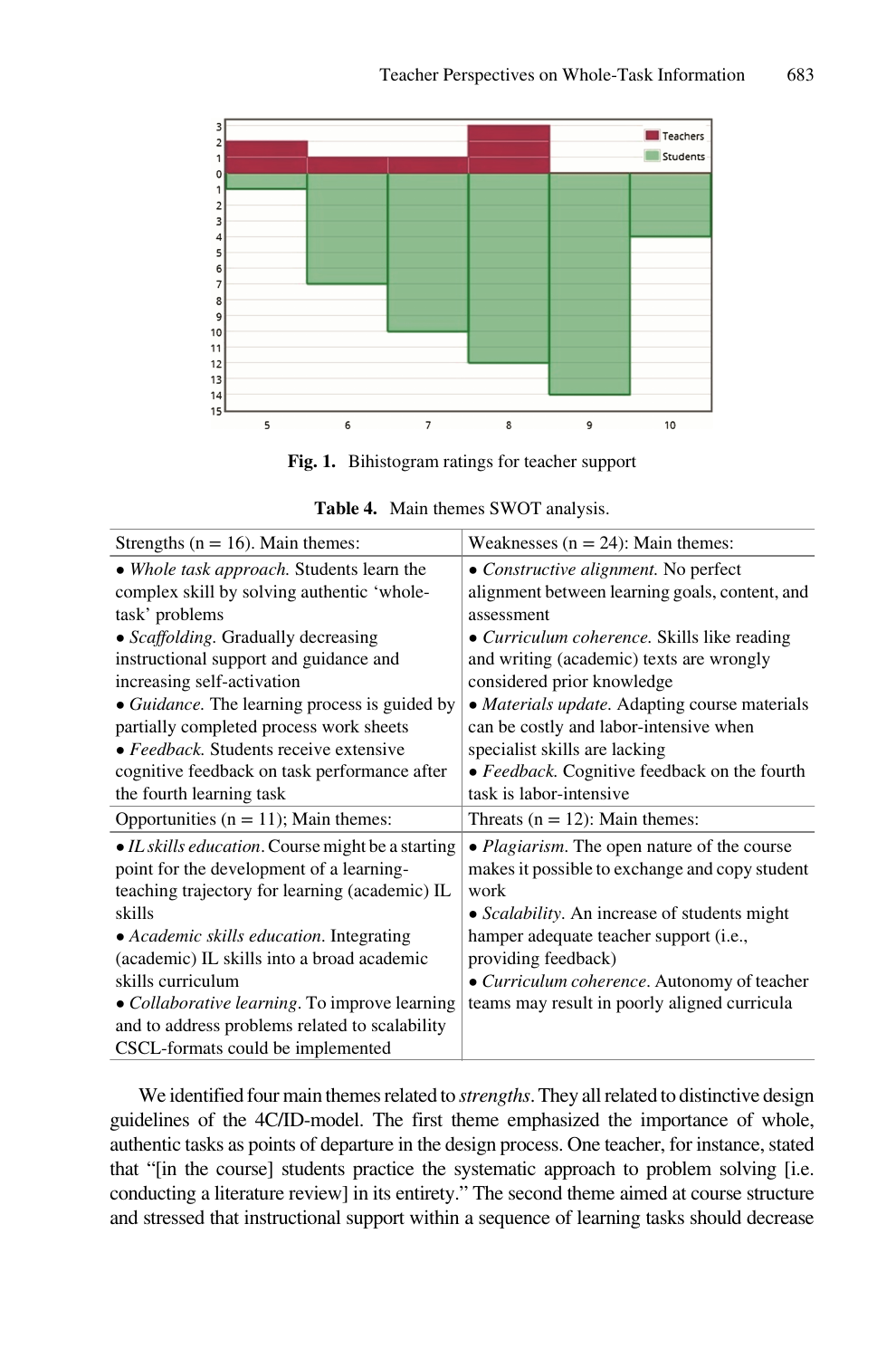<span id="page-5-0"></span>

**Fig. 1.** Bihistogram ratings for teacher support

| <b>Table 4.</b> Main themes SWOT analysis.        |                                                       |  |  |  |
|---------------------------------------------------|-------------------------------------------------------|--|--|--|
| Strengths ( $n = 16$ ). Main themes:              | Weaknesses $(n = 24)$ : Main themes:                  |  |  |  |
| • Whole task approach. Students learn the         | • Constructive alignment. No perfect                  |  |  |  |
| complex skill by solving authentic 'whole-        | alignment between learning goals, content, and        |  |  |  |
| task' problems                                    | assessment                                            |  |  |  |
| • Scaffolding. Gradually decreasing               | • <i>Curriculum coherence</i> . Skills like reading   |  |  |  |
| instructional support and guidance and            | and writing (academic) texts are wrongly              |  |  |  |
| increasing self-activation                        | considered prior knowledge                            |  |  |  |
| • Guidance. The learning process is guided by     | • <i>Materials update</i> . Adapting course materials |  |  |  |
| partially completed process work sheets           | can be costly and labor-intensive when                |  |  |  |
| • Feedback. Students receive extensive            | specialist skills are lacking                         |  |  |  |
| cognitive feedback on task performance after      | • Feedback. Cognitive feedback on the fourth          |  |  |  |
| the fourth learning task                          | task is labor-intensive                               |  |  |  |
| Opportunities ( $n = 11$ ); Main themes:          | Threats $(n = 12)$ : Main themes:                     |  |  |  |
| • IL skills education. Course might be a starting | • <i>Plagiarism</i> . The open nature of the course   |  |  |  |
| point for the development of a learning-          | makes it possible to exchange and copy student        |  |  |  |
| teaching trajectory for learning (academic) IL    | work                                                  |  |  |  |
| skills                                            | • Scalability. An increase of students might          |  |  |  |
| • Academic skills education. Integrating          | hamper adequate teacher support (i.e.,                |  |  |  |

(academic) IL skills into a broad academic

*• Collaborative learning*. To improve learning and to address problems related to scalability CSCL-formats could be implemented

skills curriculum

We identified four main themes related to *strengths*. They all related to distinctive design guidelines of the 4C/ID-model. The first theme emphasized the importance of whole, authentic tasks as points of departure in the design process. One teacher, for instance, stated that "[in the course] students practice the systematic approach to problem solving [i.e. conducting a literature review] in its entirety." The second theme aimed at course structure and stressed that instructional support within a sequence of learning tasks should decrease

providing feedback)

*• Curriculum coherence*. Autonomy of teacher teams may result in poorly aligned curricula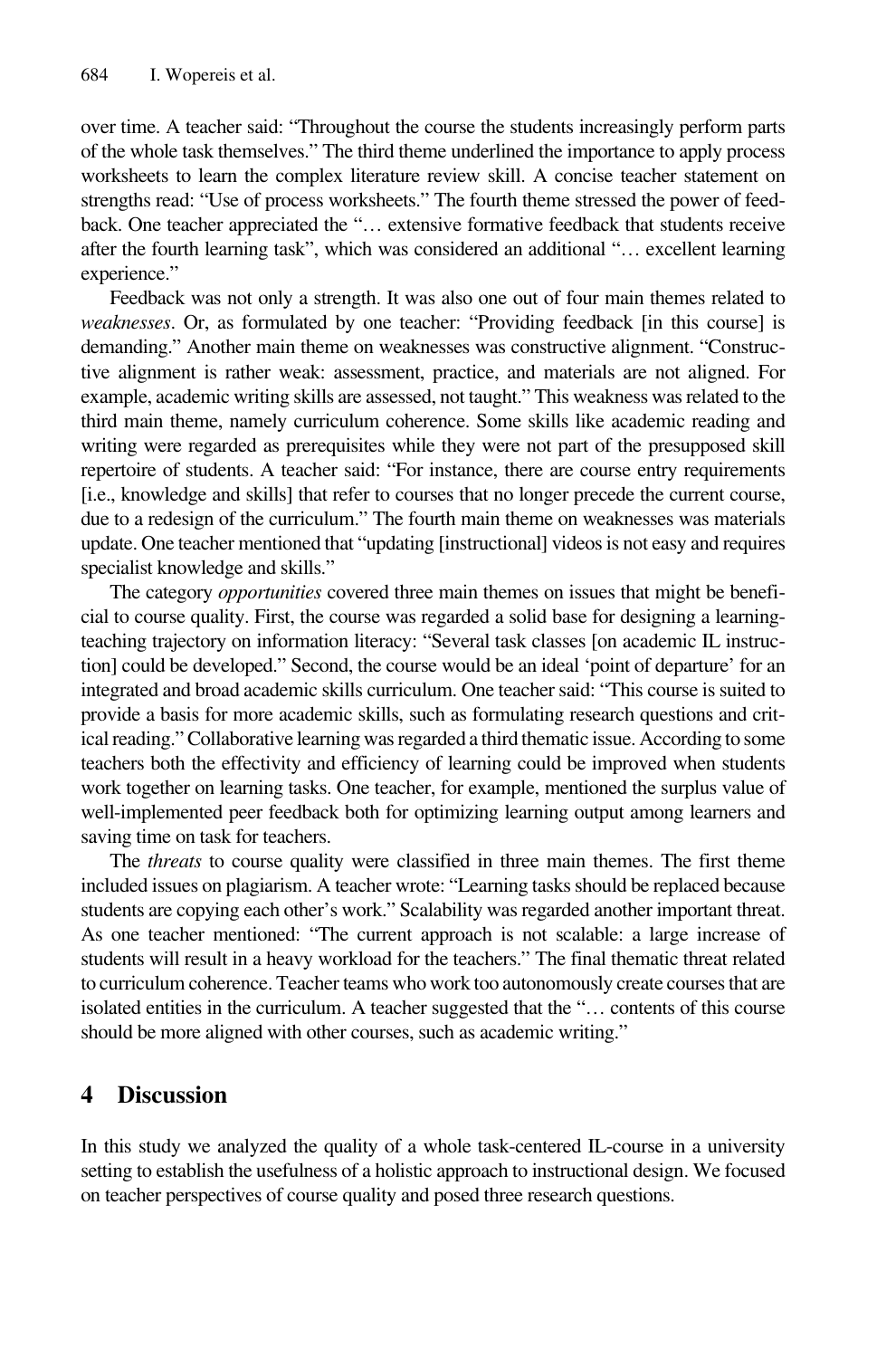over time. A teacher said: "Throughout the course the students increasingly perform parts of the whole task themselves." The third theme underlined the importance to apply process worksheets to learn the complex literature review skill. A concise teacher statement on strengths read: "Use of process worksheets." The fourth theme stressed the power of feed‐ back. One teacher appreciated the "… extensive formative feedback that students receive after the fourth learning task", which was considered an additional "… excellent learning experience."

Feedback was not only a strength. It was also one out of four main themes related to *weaknesses*. Or, as formulated by one teacher: "Providing feedback [in this course] is demanding." Another main theme on weaknesses was constructive alignment. "Constructive alignment is rather weak: assessment, practice, and materials are not aligned. For example, academic writing skills are assessed, not taught." This weakness was related to the third main theme, namely curriculum coherence. Some skills like academic reading and writing were regarded as prerequisites while they were not part of the presupposed skill repertoire of students. A teacher said: "For instance, there are course entry requirements [i.e., knowledge and skills] that refer to courses that no longer precede the current course, due to a redesign of the curriculum." The fourth main theme on weaknesses was materials update. One teacher mentioned that "updating [instructional] videos is not easy and requires specialist knowledge and skills."

The category *opportunities* covered three main themes on issues that might be benefi‐ cial to course quality. First, the course was regarded a solid base for designing a learningteaching trajectory on information literacy: "Several task classes [on academic IL instruction] could be developed." Second, the course would be an ideal 'point of departure' for an integrated and broad academic skills curriculum. One teacher said: "This course is suited to provide a basis for more academic skills, such as formulating research questions and crit‐ ical reading." Collaborative learning was regarded a third thematic issue. According to some teachers both the effectivity and efficiency of learning could be improved when students work together on learning tasks. One teacher, for example, mentioned the surplus value of well-implemented peer feedback both for optimizing learning output among learners and saving time on task for teachers.

The *threats* to course quality were classified in three main themes. The first theme included issues on plagiarism. A teacher wrote: "Learning tasks should be replaced because students are copying each other's work." Scalability was regarded another important threat. As one teacher mentioned: "The current approach is not scalable: a large increase of students will result in a heavy workload for the teachers." The final thematic threat related to curriculum coherence. Teacher teams who work too autonomously create courses that are isolated entities in the curriculum. A teacher suggested that the "… contents of this course should be more aligned with other courses, such as academic writing."

## **4 Discussion**

In this study we analyzed the quality of a whole task-centered IL-course in a university setting to establish the usefulness of a holistic approach to instructional design. We focused on teacher perspectives of course quality and posed three research questions.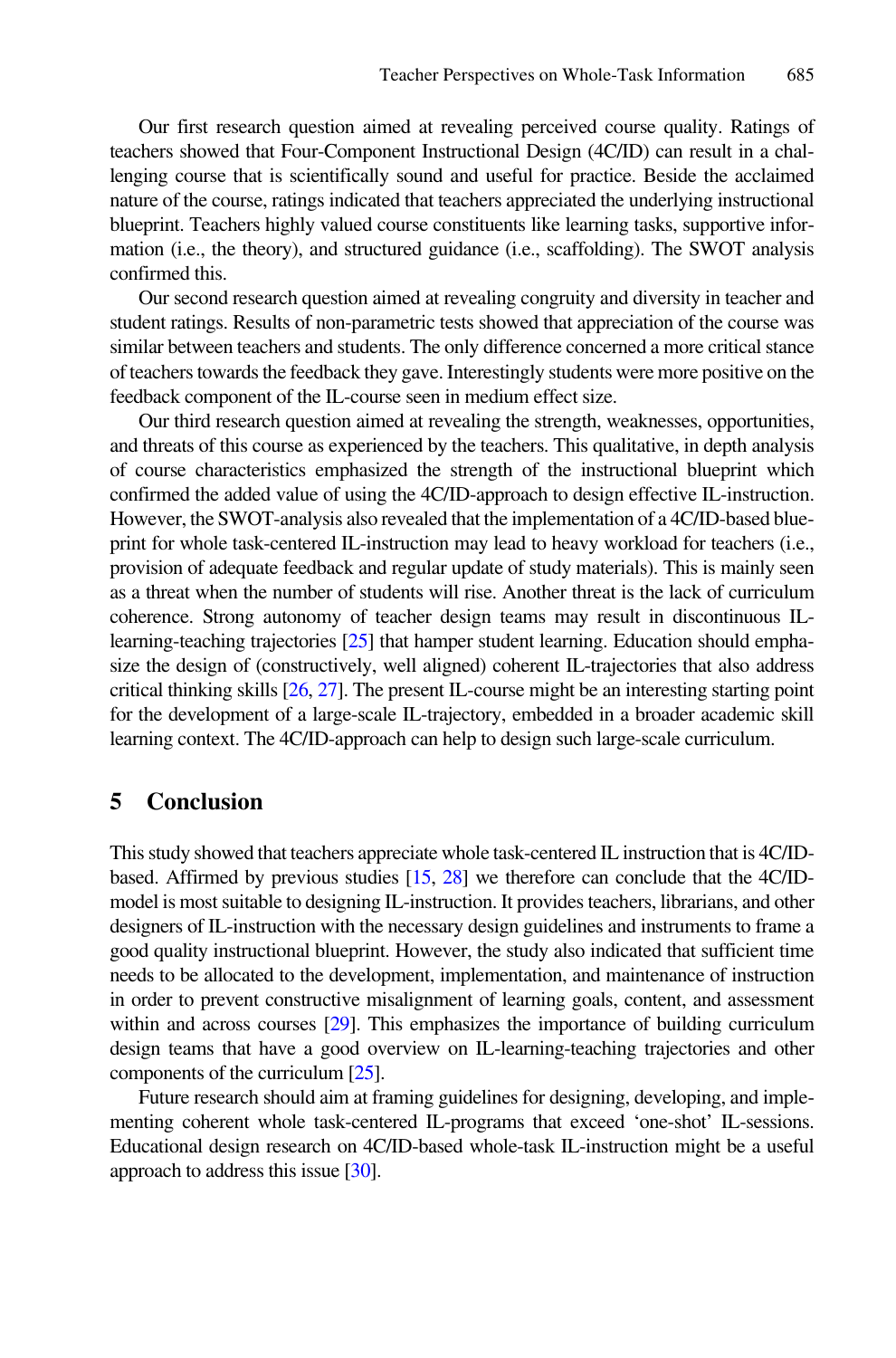Our first research question aimed at revealing perceived course quality. Ratings of teachers showed that Four-Component Instructional Design (4C/ID) can result in a chal‐ lenging course that is scientifically sound and useful for practice. Beside the acclaimed nature of the course, ratings indicated that teachers appreciated the underlying instructional blueprint. Teachers highly valued course constituents like learning tasks, supportive information (i.e., the theory), and structured guidance (i.e., scaffolding). The SWOT analysis confirmed this.

Our second research question aimed at revealing congruity and diversity in teacher and student ratings. Results of non-parametric tests showed that appreciation of the course was similar between teachers and students. The only difference concerned a more critical stance of teachers towards the feedback they gave. Interestingly students were more positive on the feedback component of the IL-course seen in medium effect size.

Our third research question aimed at revealing the strength, weaknesses, opportunities, and threats of this course as experienced by the teachers. This qualitative, in depth analysis of course characteristics emphasized the strength of the instructional blueprint which confirmed the added value of using the 4C/ID-approach to design effective IL-instruction. However, the SWOT-analysis also revealed that the implementation of a 4C/ID-based blue‐ print for whole task-centered IL-instruction may lead to heavy workload for teachers (i.e., provision of adequate feedback and regular update of study materials). This is mainly seen as a threat when the number of students will rise. Another threat is the lack of curriculum coherence. Strong autonomy of teacher design teams may result in discontinuous ILlearning-teaching trajectories [\[25\]](#page-9-0) that hamper student learning. Education should empha‐ size the design of (constructively, well aligned) coherent IL-trajectories that also address critical thinking skills  $[26, 27]$  $[26, 27]$  $[26, 27]$  $[26, 27]$ . The present IL-course might be an interesting starting point for the development of a large-scale IL-trajectory, embedded in a broader academic skill learning context. The 4C/ID-approach can help to design such large-scale curriculum.

#### **5 Conclusion**

This study showed that teachers appreciate whole task-centered IL instruction that is 4C/IDbased. Affirmed by previous studies [\[15,](#page-8-0) [28\]](#page-9-0) we therefore can conclude that the 4C/IDmodel is most suitable to designing IL-instruction. It provides teachers, librarians, and other designers of IL-instruction with the necessary design guidelines and instruments to frame a good quality instructional blueprint. However, the study also indicated that sufficient time needs to be allocated to the development, implementation, and maintenance of instruction in order to prevent constructive misalignment of learning goals, content, and assessment within and across courses [\[29\]](#page-9-0). This emphasizes the importance of building curriculum design teams that have a good overview on IL-learning-teaching trajectories and other components of the curriculum [\[25\]](#page-9-0).

Future research should aim at framing guidelines for designing, developing, and implementing coherent whole task-centered IL-programs that exceed 'one-shot' IL-sessions. Educational design research on 4C/ID-based whole-task IL-instruction might be a useful approach to address this issue [\[30\]](#page-9-0).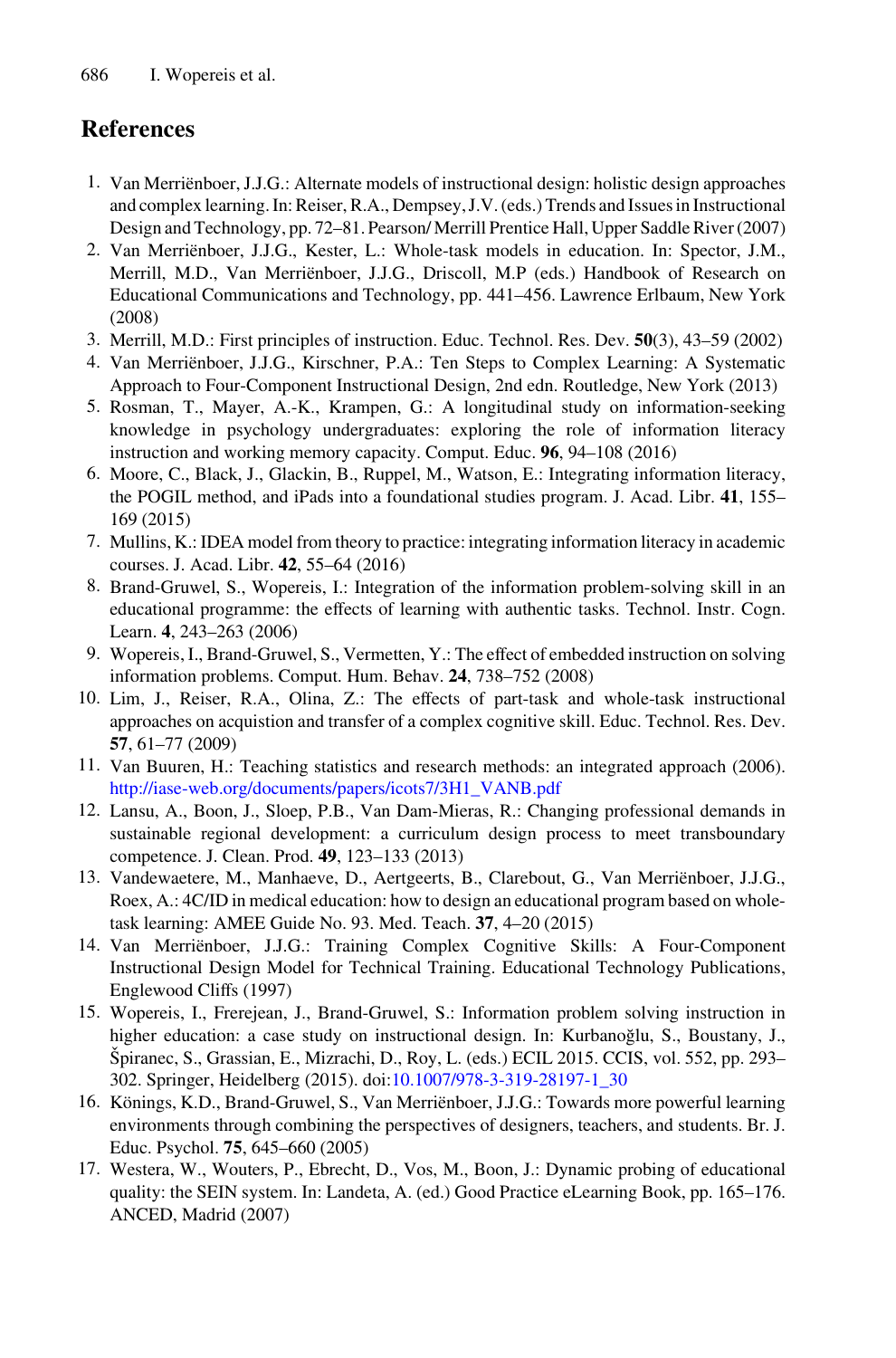# <span id="page-8-0"></span>**References**

- 1. Van Merriënboer, J.J.G.: Alternate models of instructional design: holistic design approaches and complex learning. In: Reiser, R.A., Dempsey, J.V. (eds.) Trends and Issues in Instructional Design and Technology, pp. 72–81. Pearson/ Merrill Prentice Hall, Upper Saddle River (2007)
- 2. Van Merriënboer, J.J.G., Kester, L.: Whole-task models in education. In: Spector, J.M., Merrill, M.D., Van Merriënboer, J.J.G., Driscoll, M.P (eds.) Handbook of Research on Educational Communications and Technology, pp. 441–456. Lawrence Erlbaum, New York (2008)
- 3. Merrill, M.D.: First principles of instruction. Educ. Technol. Res. Dev. **50**(3), 43–59 (2002)
- 4. Van Merriënboer, J.J.G., Kirschner, P.A.: Ten Steps to Complex Learning: A Systematic Approach to Four-Component Instructional Design, 2nd edn. Routledge, New York (2013)
- 5. Rosman, T., Mayer, A.-K., Krampen, G.: A longitudinal study on information-seeking knowledge in psychology undergraduates: exploring the role of information literacy instruction and working memory capacity. Comput. Educ. **96**, 94–108 (2016)
- 6. Moore, C., Black, J., Glackin, B., Ruppel, M., Watson, E.: Integrating information literacy, the POGIL method, and iPads into a foundational studies program. J. Acad. Libr. **41**, 155– 169 (2015)
- 7. Mullins, K.: IDEA model from theory to practice: integrating information literacy in academic courses. J. Acad. Libr. **42**, 55–64 (2016)
- 8. Brand-Gruwel, S., Wopereis, I.: Integration of the information problem-solving skill in an educational programme: the effects of learning with authentic tasks. Technol. Instr. Cogn. Learn. **4**, 243–263 (2006)
- 9. Wopereis, I., Brand-Gruwel, S., Vermetten, Y.: The effect of embedded instruction on solving information problems. Comput. Hum. Behav. **24**, 738–752 (2008)
- 10. Lim, J., Reiser, R.A., Olina, Z.: The effects of part-task and whole-task instructional approaches on acquistion and transfer of a complex cognitive skill. Educ. Technol. Res. Dev. **57**, 61–77 (2009)
- 11. Van Buuren, H.: Teaching statistics and research methods: an integrated approach (2006). [http://iase-web.org/documents/papers/icots7/3H1\\_VANB.pdf](http://iase-web.org/documents/papers/icots7/3H1_VANB.pdf)
- 12. Lansu, A., Boon, J., Sloep, P.B., Van Dam-Mieras, R.: Changing professional demands in sustainable regional development: a curriculum design process to meet transboundary competence. J. Clean. Prod. **49**, 123–133 (2013)
- 13. Vandewaetere, M., Manhaeve, D., Aertgeerts, B., Clarebout, G., Van Merriënboer, J.J.G., Roex, A.: 4C/ID in medical education: how to design an educational program based on wholetask learning: AMEE Guide No. 93. Med. Teach. **37**, 4–20 (2015)
- 14. Van Merriënboer, J.J.G.: Training Complex Cognitive Skills: A Four-Component Instructional Design Model for Technical Training. Educational Technology Publications, Englewood Cliffs (1997)
- 15. Wopereis, I., Frerejean, J., Brand-Gruwel, S.: Information problem solving instruction in higher education: a case study on instructional design. In: Kurbanoğlu, S., Boustany, J., Špiranec, S., Grassian, E., Mizrachi, D., Roy, L. (eds.) ECIL 2015. CCIS, vol. 552, pp. 293– 302. Springer, Heidelberg (2015). doi[:10.1007/978-3-319-28197-1\\_30](http://dx.doi.org/10.1007/978-3-319-28197-1_30)
- 16. Könings, K.D., Brand-Gruwel, S., Van Merriënboer, J.J.G.: Towards more powerful learning environments through combining the perspectives of designers, teachers, and students. Br. J. Educ. Psychol. **75**, 645–660 (2005)
- 17. Westera, W., Wouters, P., Ebrecht, D., Vos, M., Boon, J.: Dynamic probing of educational quality: the SEIN system. In: Landeta, A. (ed.) Good Practice eLearning Book, pp. 165–176. ANCED, Madrid (2007)